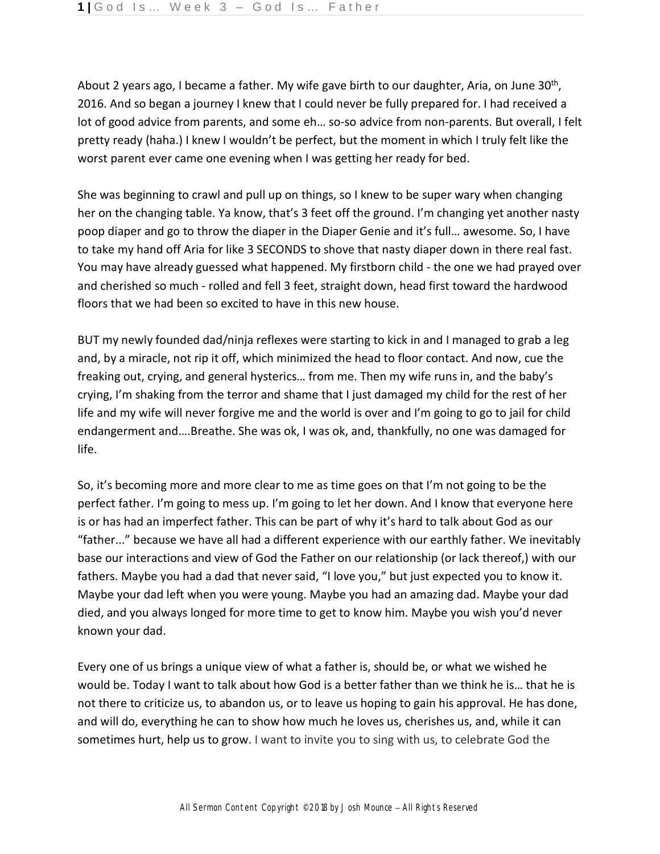About 2 years ago, I became a father. My wife gave birth to our daughter, Aria, on June 30<sup>th</sup>, 2016. And so began a journey I knew that I could never be fully prepared for. I had received a lot of good advice from parents, and some eh… so-so advice from non-parents. But overall, I felt pretty ready (haha.) I knew I wouldn't be perfect, but the moment in which I truly felt like the worst parent ever came one evening when I was getting her ready for bed.

She was beginning to crawl and pull up on things, so I knew to be super wary when changing her on the changing table. Ya know, that's 3 feet off the ground. I'm changing yet another nasty poop diaper and go to throw the diaper in the Diaper Genie and it's full… awesome. So, I have to take my hand off Aria for like 3 SECONDS to shove that nasty diaper down in there real fast. You may have already guessed what happened. My firstborn child - the one we had prayed over and cherished so much - rolled and fell 3 feet, straight down, head first toward the hardwood floors that we had been so excited to have in this new house.

BUT my newly founded dad/ninja reflexes were starting to kick in and I managed to grab a leg and, by a miracle, not rip it off, which minimized the head to floor contact. And now, cue the freaking out, crying, and general hysterics… from me. Then my wife runs in, and the baby's crying, I'm shaking from the terror and shame that I just damaged my child for the rest of her life and my wife will never forgive me and the world is over and I'm going to go to jail for child endangerment and….Breathe. She was ok, I was ok, and, thankfully, no one was damaged for life.

So, it's becoming more and more clear to me as time goes on that I'm not going to be the perfect father. I'm going to mess up. I'm going to let her down. And I know that everyone here is or has had an imperfect father. This can be part of why it's hard to talk about God as our "father..." because we have all had a different experience with our earthly father. We inevitably base our interactions and view of God the Father on our relationship (or lack thereof,) with our fathers. Maybe you had a dad that never said, "I love you," but just expected you to know it. Maybe your dad left when you were young. Maybe you had an amazing dad. Maybe your dad died, and you always longed for more time to get to know him. Maybe you wish you'd never known your dad.

Every one of us brings a unique view of what a father is, should be, or what we wished he would be. Today I want to talk about how God is a better father than we think he is… that he is not there to criticize us, to abandon us, or to leave us hoping to gain his approval. He has done, and will do, everything he can to show how much he loves us, cherishes us, and, while it can sometimes hurt, help us to grow. I want to invite you to sing with us, to celebrate God the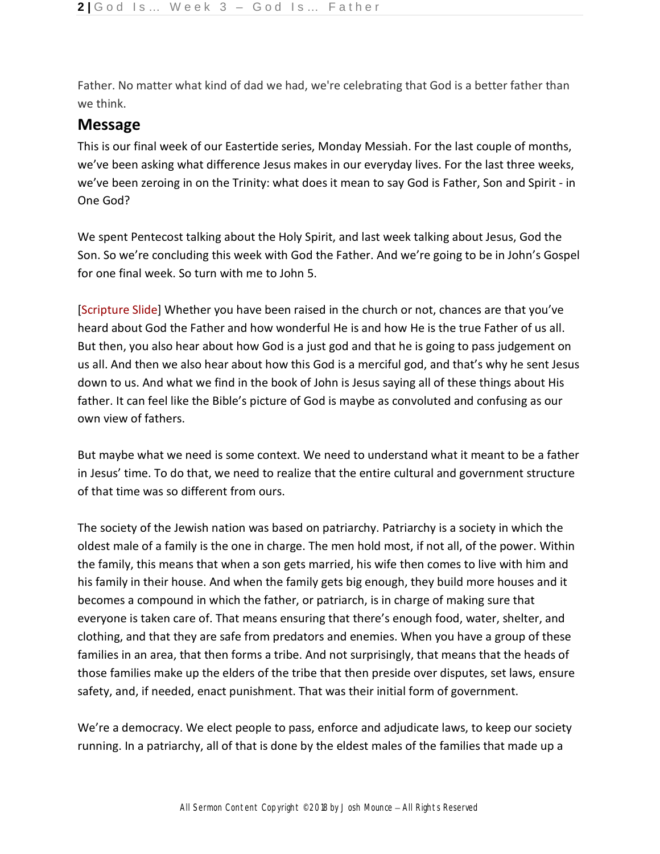Father. No matter what kind of dad we had, we're celebrating that God is a better father than we think.

## **Message**

This is our final week of our Eastertide series, Monday Messiah. For the last couple of months, we've been asking what difference Jesus makes in our everyday lives. For the last three weeks, we've been zeroing in on the Trinity: what does it mean to say God is Father, Son and Spirit - in One God?

We spent Pentecost talking about the Holy Spirit, and last week talking about Jesus, God the Son. So we're concluding this week with God the Father. And we're going to be in John's Gospel for one final week. So turn with me to John 5.

[Scripture Slide] Whether you have been raised in the church or not, chances are that you've heard about God the Father and how wonderful He is and how He is the true Father of us all. But then, you also hear about how God is a just god and that he is going to pass judgement on us all. And then we also hear about how this God is a merciful god, and that's why he sent Jesus down to us. And what we find in the book of John is Jesus saying all of these things about His father. It can feel like the Bible's picture of God is maybe as convoluted and confusing as our own view of fathers.

But maybe what we need is some context. We need to understand what it meant to be a father in Jesus' time. To do that, we need to realize that the entire cultural and government structure of that time was so different from ours.

The society of the Jewish nation was based on patriarchy. Patriarchy is a society in which the oldest male of a family is the one in charge. The men hold most, if not all, of the power. Within the family, this means that when a son gets married, his wife then comes to live with him and his family in their house. And when the family gets big enough, they build more houses and it becomes a compound in which the father, or patriarch, is in charge of making sure that everyone is taken care of. That means ensuring that there's enough food, water, shelter, and clothing, and that they are safe from predators and enemies. When you have a group of these families in an area, that then forms a tribe. And not surprisingly, that means that the heads of those families make up the elders of the tribe that then preside over disputes, set laws, ensure safety, and, if needed, enact punishment. That was their initial form of government.

We're a democracy. We elect people to pass, enforce and adjudicate laws, to keep our society running. In a patriarchy, all of that is done by the eldest males of the families that made up a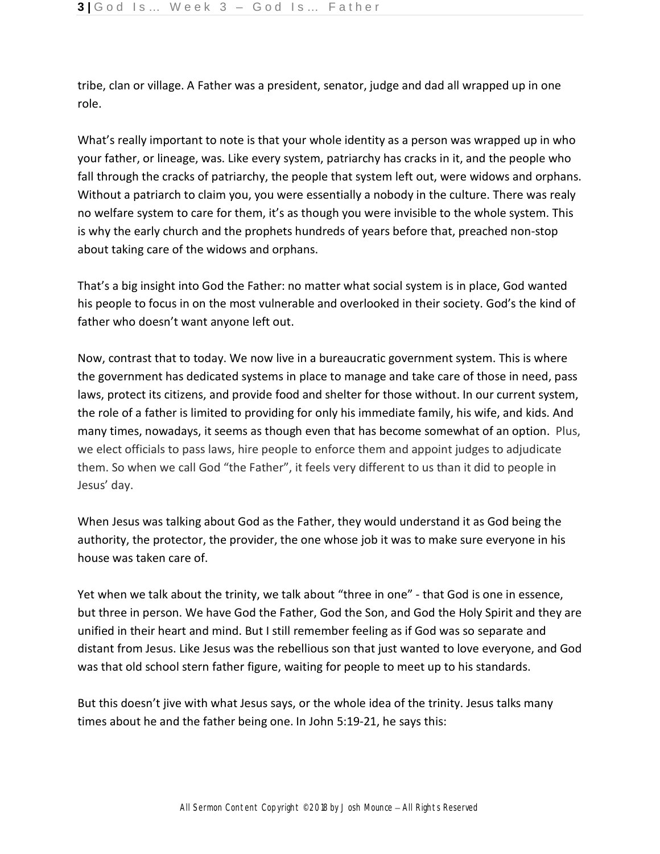tribe, clan or village. A Father was a president, senator, judge and dad all wrapped up in one role.

What's really important to note is that your whole identity as a person was wrapped up in who your father, or lineage, was. Like every system, patriarchy has cracks in it, and the people who fall through the cracks of patriarchy, the people that system left out, were widows and orphans. Without a patriarch to claim you, you were essentially a nobody in the culture. There was realy no welfare system to care for them, it's as though you were invisible to the whole system. This is why the early church and the prophets hundreds of years before that, preached non-stop about taking care of the widows and orphans.

That's a big insight into God the Father: no matter what social system is in place, God wanted his people to focus in on the most vulnerable and overlooked in their society. God's the kind of father who doesn't want anyone left out.

Now, contrast that to today. We now live in a bureaucratic government system. This is where the government has dedicated systems in place to manage and take care of those in need, pass laws, protect its citizens, and provide food and shelter for those without. In our current system, the role of a father is limited to providing for only his immediate family, his wife, and kids. And many times, nowadays, it seems as though even that has become somewhat of an option. Plus, we elect officials to pass laws, hire people to enforce them and appoint judges to adjudicate them. So when we call God "the Father", it feels very different to us than it did to people in Jesus' day.

When Jesus was talking about God as the Father, they would understand it as God being the authority, the protector, the provider, the one whose job it was to make sure everyone in his house was taken care of.

Yet when we talk about the trinity, we talk about "three in one" - that God is one in essence, but three in person. We have God the Father, God the Son, and God the Holy Spirit and they are unified in their heart and mind. But I still remember feeling as if God was so separate and distant from Jesus. Like Jesus was the rebellious son that just wanted to love everyone, and God was that old school stern father figure, waiting for people to meet up to his standards.

But this doesn't jive with what Jesus says, or the whole idea of the trinity. Jesus talks many times about he and the father being one. In John 5:19-21, he says this: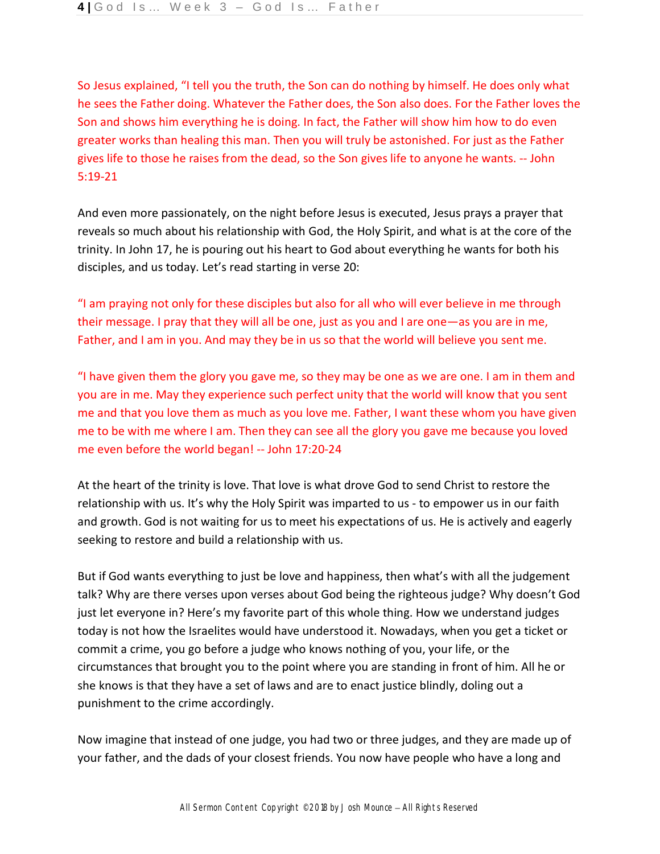So Jesus explained, "I tell you the truth, the Son can do nothing by himself. He does only what he sees the Father doing. Whatever the Father does, the Son also does. For the Father loves the Son and shows him everything he is doing. In fact, the Father will show him how to do even greater works than healing this man. Then you will truly be astonished. For just as the Father gives life to those he raises from the dead, so the Son gives life to anyone he wants. -- John 5:19-21

And even more passionately, on the night before Jesus is executed, Jesus prays a prayer that reveals so much about his relationship with God, the Holy Spirit, and what is at the core of the trinity. In John 17, he is pouring out his heart to God about everything he wants for both his disciples, and us today. Let's read starting in verse 20:

"I am praying not only for these disciples but also for all who will ever believe in me through their message. I pray that they will all be one, just as you and I are one—as you are in me, Father, and I am in you. And may they be in us so that the world will believe you sent me.

"I have given them the glory you gave me, so they may be one as we are one. I am in them and you are in me. May they experience such perfect unity that the world will know that you sent me and that you love them as much as you love me. Father, I want these whom you have given me to be with me where I am. Then they can see all the glory you gave me because you loved me even before the world began! -- John 17:20-24

At the heart of the trinity is love. That love is what drove God to send Christ to restore the relationship with us. It's why the Holy Spirit was imparted to us - to empower us in our faith and growth. God is not waiting for us to meet his expectations of us. He is actively and eagerly seeking to restore and build a relationship with us.

But if God wants everything to just be love and happiness, then what's with all the judgement talk? Why are there verses upon verses about God being the righteous judge? Why doesn't God just let everyone in? Here's my favorite part of this whole thing. How we understand judges today is not how the Israelites would have understood it. Nowadays, when you get a ticket or commit a crime, you go before a judge who knows nothing of you, your life, or the circumstances that brought you to the point where you are standing in front of him. All he or she knows is that they have a set of laws and are to enact justice blindly, doling out a punishment to the crime accordingly.

Now imagine that instead of one judge, you had two or three judges, and they are made up of your father, and the dads of your closest friends. You now have people who have a long and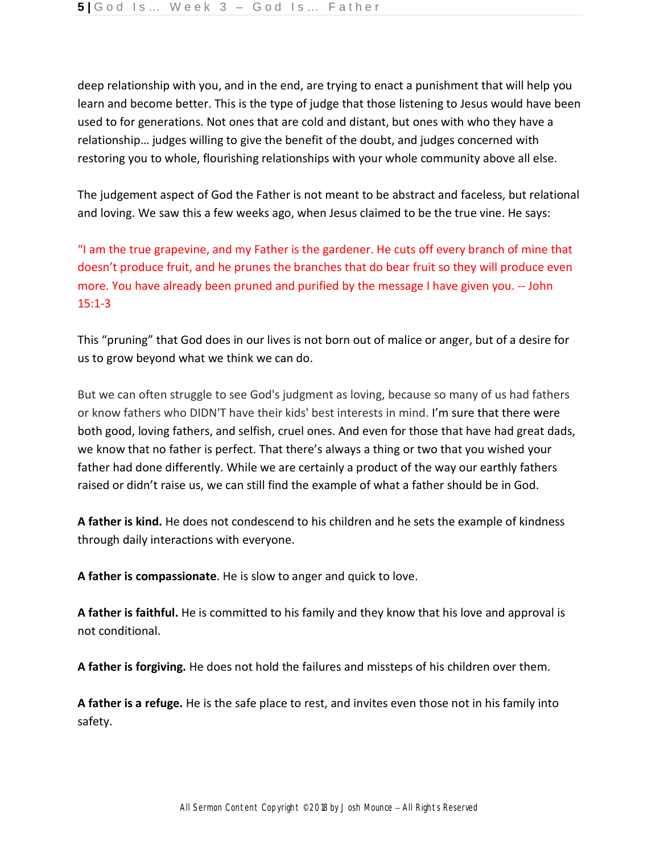deep relationship with you, and in the end, are trying to enact a punishment that will help you learn and become better. This is the type of judge that those listening to Jesus would have been used to for generations. Not ones that are cold and distant, but ones with who they have a relationship… judges willing to give the benefit of the doubt, and judges concerned with restoring you to whole, flourishing relationships with your whole community above all else.

The judgement aspect of God the Father is not meant to be abstract and faceless, but relational and loving. We saw this a few weeks ago, when Jesus claimed to be the true vine. He says:

"I am the true grapevine, and my Father is the gardener. He cuts off every branch of mine that doesn't produce fruit, and he prunes the branches that do bear fruit so they will produce even more. You have already been pruned and purified by the message I have given you. -- John 15:1-3

This "pruning" that God does in our lives is not born out of malice or anger, but of a desire for us to grow beyond what we think we can do.

But we can often struggle to see God's judgment as loving, because so many of us had fathers or know fathers who DIDN'T have their kids' best interests in mind. I'm sure that there were both good, loving fathers, and selfish, cruel ones. And even for those that have had great dads, we know that no father is perfect. That there's always a thing or two that you wished your father had done differently. While we are certainly a product of the way our earthly fathers raised or didn't raise us, we can still find the example of what a father should be in God.

**A father is kind.** He does not condescend to his children and he sets the example of kindness through daily interactions with everyone.

**A father is compassionate**. He is slow to anger and quick to love.

**A father is faithful.** He is committed to his family and they know that his love and approval is not conditional.

**A father is forgiving.** He does not hold the failures and missteps of his children over them.

**A father is a refuge.** He is the safe place to rest, and invites even those not in his family into safety.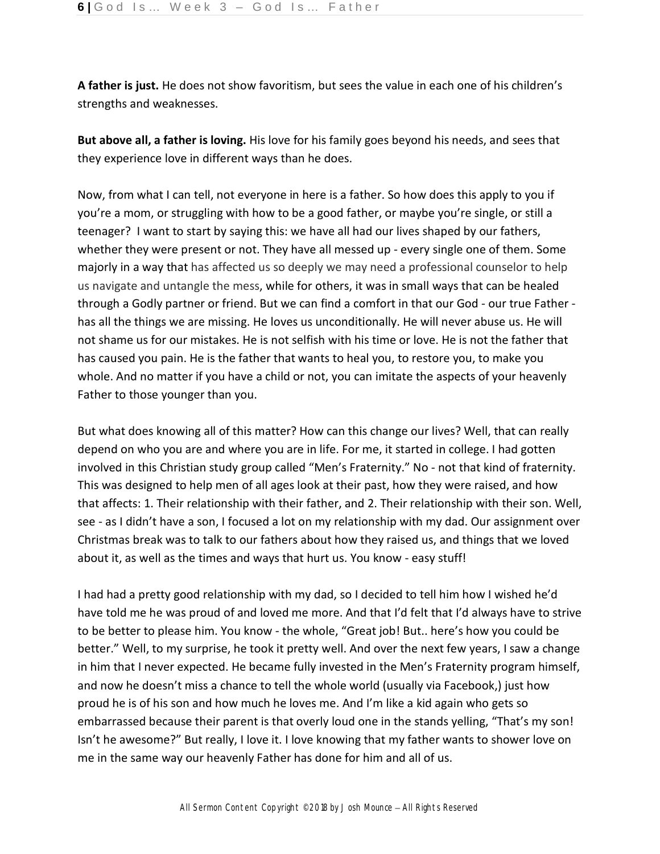**A father is just.** He does not show favoritism, but sees the value in each one of his children's strengths and weaknesses.

**But above all, a father is loving.** His love for his family goes beyond his needs, and sees that they experience love in different ways than he does.

Now, from what I can tell, not everyone in here is a father. So how does this apply to you if you're a mom, or struggling with how to be a good father, or maybe you're single, or still a teenager? I want to start by saying this: we have all had our lives shaped by our fathers, whether they were present or not. They have all messed up - every single one of them. Some majorly in a way that has affected us so deeply we may need a professional counselor to help us navigate and untangle the mess, while for others, it was in small ways that can be healed through a Godly partner or friend. But we can find a comfort in that our God - our true Father has all the things we are missing. He loves us unconditionally. He will never abuse us. He will not shame us for our mistakes. He is not selfish with his time or love. He is not the father that has caused you pain. He is the father that wants to heal you, to restore you, to make you whole. And no matter if you have a child or not, you can imitate the aspects of your heavenly Father to those younger than you.

But what does knowing all of this matter? How can this change our lives? Well, that can really depend on who you are and where you are in life. For me, it started in college. I had gotten involved in this Christian study group called "Men's Fraternity." No - not that kind of fraternity. This was designed to help men of all ages look at their past, how they were raised, and how that affects: 1. Their relationship with their father, and 2. Their relationship with their son. Well, see - as I didn't have a son, I focused a lot on my relationship with my dad. Our assignment over Christmas break was to talk to our fathers about how they raised us, and things that we loved about it, as well as the times and ways that hurt us. You know - easy stuff!

I had had a pretty good relationship with my dad, so I decided to tell him how I wished he'd have told me he was proud of and loved me more. And that I'd felt that I'd always have to strive to be better to please him. You know - the whole, "Great job! But.. here's how you could be better." Well, to my surprise, he took it pretty well. And over the next few years, I saw a change in him that I never expected. He became fully invested in the Men's Fraternity program himself, and now he doesn't miss a chance to tell the whole world (usually via Facebook,) just how proud he is of his son and how much he loves me. And I'm like a kid again who gets so embarrassed because their parent is that overly loud one in the stands yelling, "That's my son! Isn't he awesome?" But really, I love it. I love knowing that my father wants to shower love on me in the same way our heavenly Father has done for him and all of us.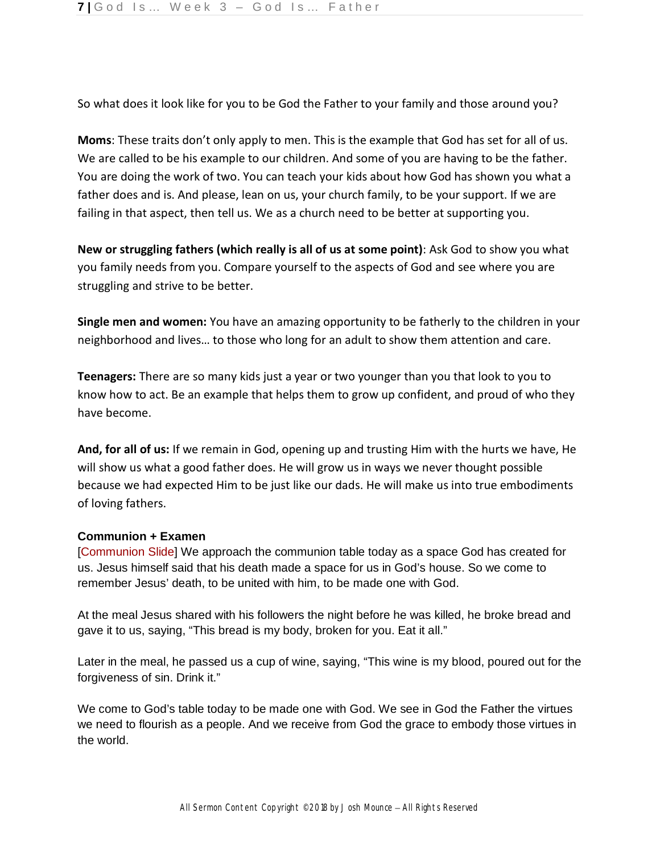So what does it look like for you to be God the Father to your family and those around you?

**Moms**: These traits don't only apply to men. This is the example that God has set for all of us. We are called to be his example to our children. And some of you are having to be the father. You are doing the work of two. You can teach your kids about how God has shown you what a father does and is. And please, lean on us, your church family, to be your support. If we are failing in that aspect, then tell us. We as a church need to be better at supporting you.

**New or struggling fathers (which really is all of us at some point)**: Ask God to show you what you family needs from you. Compare yourself to the aspects of God and see where you are struggling and strive to be better.

**Single men and women:** You have an amazing opportunity to be fatherly to the children in your neighborhood and lives… to those who long for an adult to show them attention and care.

**Teenagers:** There are so many kids just a year or two younger than you that look to you to know how to act. Be an example that helps them to grow up confident, and proud of who they have become.

**And, for all of us:** If we remain in God, opening up and trusting Him with the hurts we have, He will show us what a good father does. He will grow us in ways we never thought possible because we had expected Him to be just like our dads. He will make us into true embodiments of loving fathers.

## **Communion + Examen**

[Communion Slide] We approach the communion table today as a space God has created for us. Jesus himself said that his death made a space for us in God's house. So we come to remember Jesus' death, to be united with him, to be made one with God.

At the meal Jesus shared with his followers the night before he was killed, he broke bread and gave it to us, saying, "This bread is my body, broken for you. Eat it all."

Later in the meal, he passed us a cup of wine, saying, "This wine is my blood, poured out for the forgiveness of sin. Drink it."

We come to God's table today to be made one with God. We see in God the Father the virtues we need to flourish as a people. And we receive from God the grace to embody those virtues in the world.